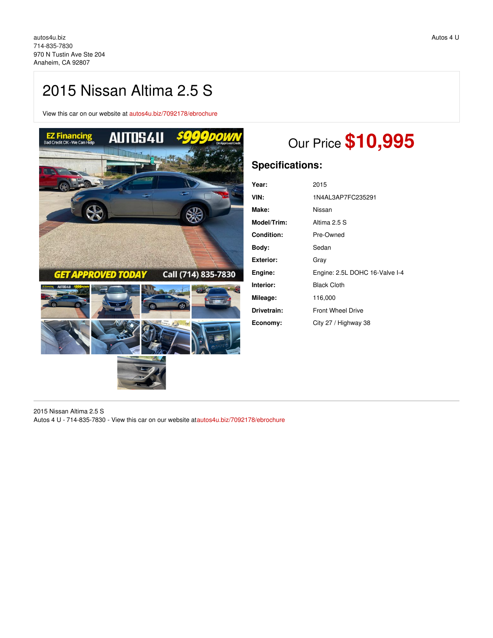# 2015 Nissan Altima 2.5 S

View this car on our website at [autos4u.biz/7092178/ebrochure](https://autos4u.biz/vehicle/7092178/2015-nissan-altima-2-5-s-anaheim-ca-92807/7092178/ebrochure)



# Our Price **\$10,995**

# **Specifications:**

| Year:             | 2015                           |
|-------------------|--------------------------------|
| VIN:              | 1N4AL3AP7FC235291              |
| Make:             | Nissan                         |
| Model/Trim:       | Altima 2.5 S                   |
| <b>Condition:</b> | Pre-Owned                      |
| Body:             | Sedan                          |
| Exterior:         | Grav                           |
| Engine:           | Engine: 2.5L DOHC 16-Valve I-4 |
| Interior:         | <b>Black Cloth</b>             |
| Mileage:          | 116,000                        |
| Drivetrain:       | <b>Front Wheel Drive</b>       |
| Economy:          | City 27 / Highway 38           |

2015 Nissan Altima 2.5 S Autos 4 U - 714-835-7830 - View this car on our website a[tautos4u.biz/7092178/ebrochure](https://autos4u.biz/vehicle/7092178/2015-nissan-altima-2-5-s-anaheim-ca-92807/7092178/ebrochure)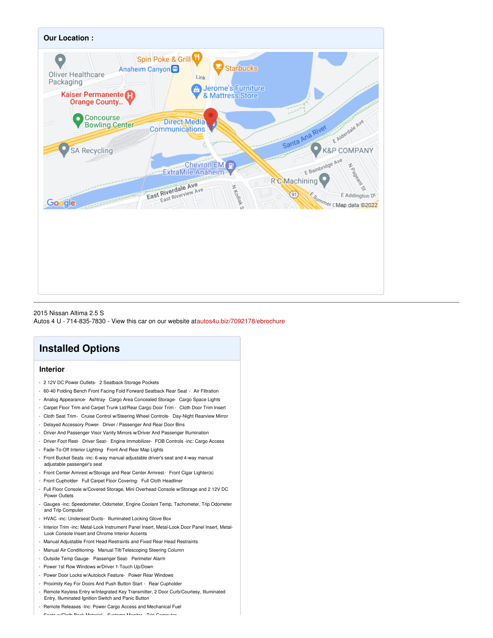

2015 Nissan Altima 2.5 S Autos 4 U - 714-835-7830 - View this car on our website a[tautos4u.biz/7092178/ebrochure](https://autos4u.biz/vehicle/7092178/2015-nissan-altima-2-5-s-anaheim-ca-92807/7092178/ebrochure)

## **Installed Options**

## **Interior**

- 2 12V DC Power Outlets- 2 Seatback Storage Pockets
- 60-40 Folding Bench Front Facing Fold Forward Seatback Rear Seat Air Filtration
- Analog Appearance- Ashtray- Cargo Area Concealed Storage- Cargo Space Lights
- Carpet Floor Trim and Carpet Trunk Lid/Rear Cargo Door Trim Cloth Door Trim Insert
- Cloth Seat Trim- Cruise Control w/Steering Wheel Controls- Day-Night Rearview Mirror
- Delayed Accessory Power- Driver / Passenger And Rear Door Bins
- Driver And Passenger Visor Vanity Mirrors w/Driver And Passenger Illumination
- Driver Foot Rest- Driver Seat- Engine Immobilizer- FOB Controls -inc: Cargo Access
- Fade-To-Off Interior Lighting- Front And Rear Map Lights
- Front Bucket Seats -inc: 6-way manual adjustable driver's seat and 4-way manual adjustable passenger's seat
- Front Center Armrest w/Storage and Rear Center Armrest- Front Cigar Lighter(s)
- Front Cupholder- Full Carpet Floor Covering- Full Cloth Headliner
- Full Floor Console w/Covered Storage, Mini Overhead Console w/Storage and 2 12V DC Power Outlets
- Gauges -inc: Speedometer, Odometer, Engine Coolant Temp, Tachometer, Trip Odometer and Trip Computer
- HVAC -inc: Underseat Ducts- Illuminated Locking Glove Box
- Interior Trim -inc: Metal-Look Instrument Panel Insert, Metal-Look Door Panel Insert, Metal-Look Console Insert and Chrome Interior Accents
- Manual Adjustable Front Head Restraints and Fixed Rear Head Restraints
- Manual Air Conditioning- Manual Tilt/Telescoping Steering Column
- Outside Temp Gauge- Passenger Seat- Perimeter Alarm
- Power 1st Row Windows w/Driver 1-Touch Up/Down
- Power Door Locks w/Autolock Feature- Power Rear Windows
- Proximity Key For Doors And Push Button Start Rear Cupholder
- Remote Keyless Entry w/Integrated Key Transmitter, 2 Door Curb/Courtesy, Illuminated Entry, Illuminated Ignition Switch and Panic Button
- Remote Releases -Inc: Power Cargo Access and Mechanical Fuel

- Seats w/Cloth Back Material- Systems Monitor- Trip Computer